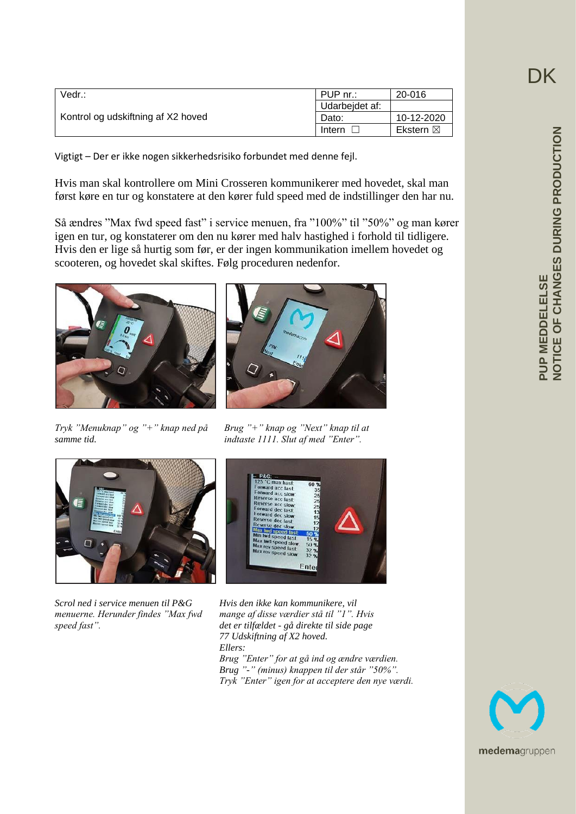| Vedr.:                             | PUP nr.:       | 20-016     |
|------------------------------------|----------------|------------|
| Kontrol og udskiftning af X2 hoved | Udarbejdet af: |            |
|                                    | Dato:          | 10-12-2020 |
|                                    | Intern         | Ekstern ⊠  |

Vigtigt – Der er ikke nogen sikkerhedsrisiko forbundet med denne fejl.

Hvis man skal kontrollere om Mini Crosseren kommunikerer med hovedet, skal man først køre en tur og konstatere at den kører fuld speed med de indstillinger den har nu.

Så ændres "Max fwd speed fast" i service menuen, fra "100%" til "50%" og man kører igen en tur, og konstaterer om den nu kører med halv hastighed i forhold til tidligere. Hvis den er lige så hurtig som før, er der ingen kommunikation imellem hovedet og scooteren, og hovedet skal skiftes. Følg proceduren nedenfor.





*samme tid. indtaste 1111. Slut af med "Enter".*





*Scrol ned i service menuen til P&G Hvis den ikke kan kommunikere, vil*



*menuerne. Herunder findes "Max fwd mange af disse værdier stå til "1". Hvis speed fast". det er tilfældet - gå direkte til side page 77 Udskiftning af X2 hoved. Ellers: Brug "Enter" for at gå ind og ændre værdien. Brug "-" (minus) knappen til der står "50%". Tryk "Enter" igen for at acceptere den nye værdi.*



**DK**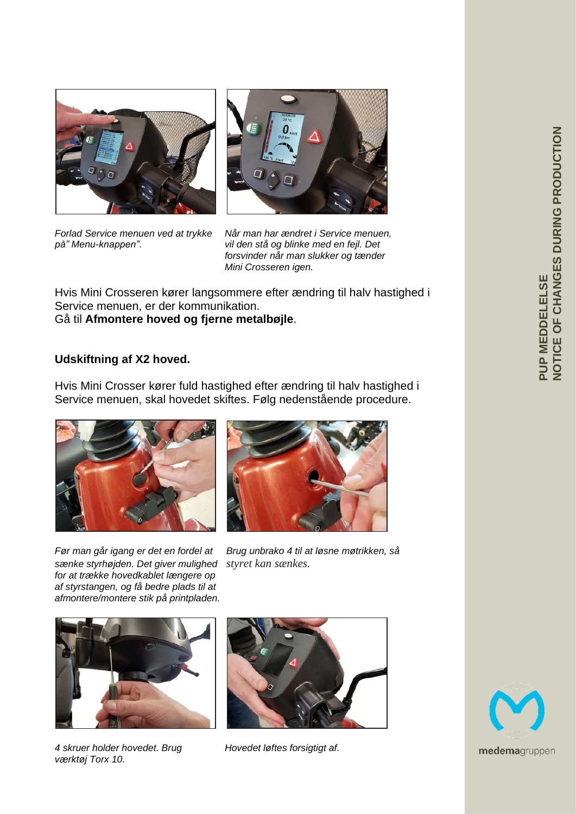



*Forlad Service menuen ved at trykke Når man har ændret i Service menuen, på" Menu-knappen". vil den stå og blinke med en fejl. Det forsvinder når man slukker og tænder Mini Crosseren igen.*

Hvis Mini Crosseren kører langsommere efter ændring til halv hastighed i Service menuen, er der kommunikation. Gå til **Afmontere hoved og fjerne metalbøjle**.

## **Udskiftning af X2 hoved.**

Hvis Mini Crosser kører fuld hastighed efter ændring til halv hastighed i Service menuen, skal hovedet skiftes. Følg nedenstående procedure.





*sænke styrhøjden. Det giver mulighed styret kan sænkes. for at trække hovedkablet længere op af styrstangen, og få bedre plads til at afmontere/montere stik på printpladen.*

*Før man går igang er det en fordel at Brug unbrako 4 til at løsne møtrikken, så*



*4 skruer holder hovedet. Brug Hovedet løftes forsigtigt af. værktøj Torx 10.*



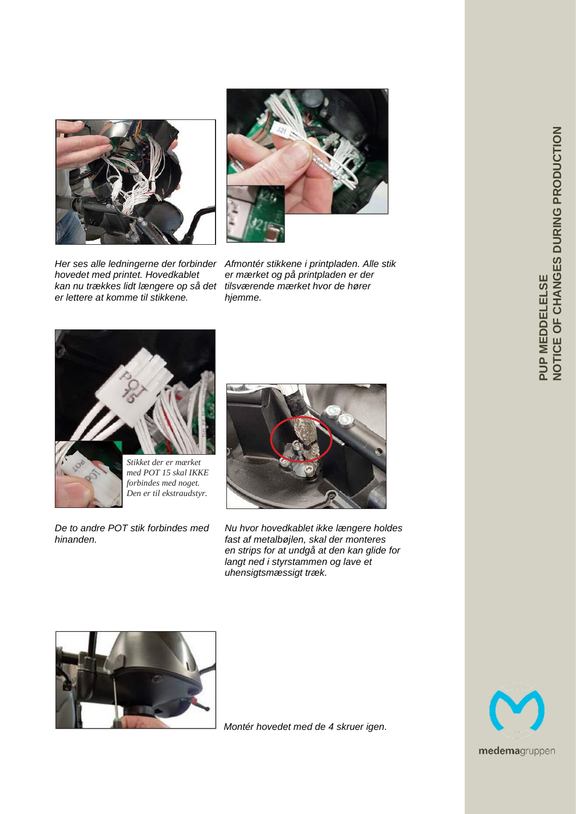

*kan nu trækkes lidt længere op så det tilsværende mærket hvor de hører er lettere at komme til stikkene. hjemme.*

*Her ses alle ledningerne der forbinder Afmontér stikkene i printpladen. Alle stik hovedet med printet. Hovedkablet er mærket og på printpladen er der*



*forbindes med noget. Den er til ekstraudstyr.*



De to andre POT stik forbindes med Nu hvor hovedkablet ikke længere holdes *hinanden. fast af metalbøjlen, skal der monteres en strips for at undgå at den kan glide for langt ned i styrstammen og lave et uhensigtsmæssigt træk.*



*Montér hovedet med de 4 skruer igen.*

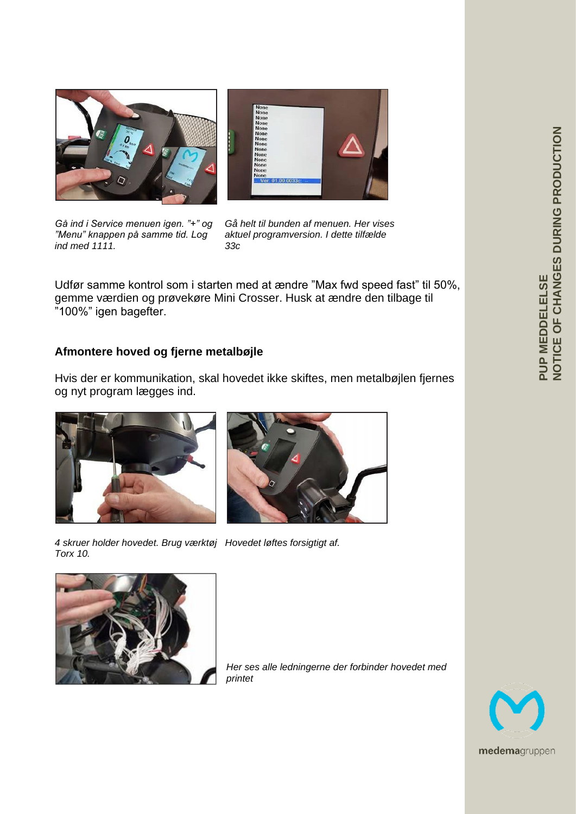



"Menu" knappen på samme tid. Log *ind med 1111. 33c*

*Gå ind i Service menuen igen. "+" og Gå helt til bunden af menuen. Her vises*

Udfør samme kontrol som i starten med at ændre "Max fwd speed fast" til 50%, gemme værdien og prøvekøre Mini Crosser. Husk at ændre den tilbage til "100%" igen bagefter.

# **Afmontere hoved og fjerne metalbøjle**

Hvis der er kommunikation, skal hovedet ikke skiftes, men metalbøjlen fjernes og nyt program lægges ind.





*4 skruer holder hovedet. Brug værktøj Hovedet løftes forsigtigt af. Torx 10.*



*Her ses alle ledningerne der forbinder hovedet med printet*

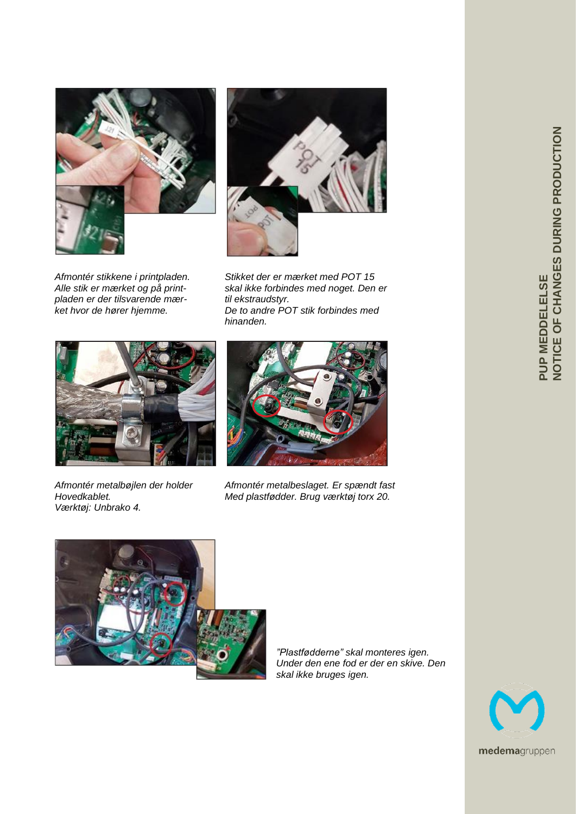



pladen er der tilsvarende mær-<br>ket hvor de hører hjemme.

*Afmontér stikkene i printpladen. Stikket der er mærket med POT 15 Alle stik er mærket og på print- skal ikke forbindes med noget. Den er* De to andre POT stik forbindes med  *hinanden.*



*Værktøj: Unbrako 4.*



*Afmontér metalbøjlen der holder Afmontér metalbeslaget. Er spændt fast Hovedkablet. Med plastfødder. Brug værktøj torx 20.*



*"Plastfødderne" skal monteres igen. Under den ene fod er der en skive. Den skal ikke bruges igen.*

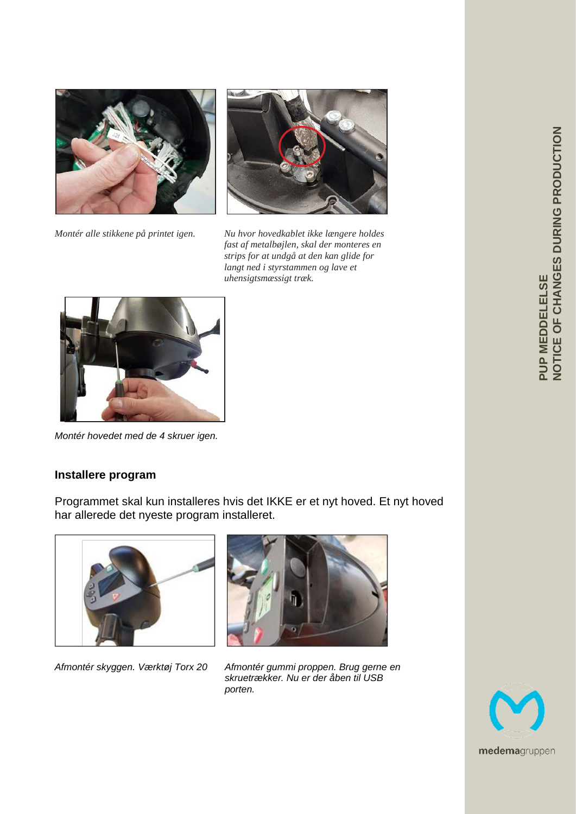

*Montér alle stikkene på printet igen. Nu hvor hovedkablet ikke længere holdes* 



 *fast af metalbøjlen, skal der monteres en strips for at undgå at den kan glide for langt ned i styrstammen og lave et uhensigtsmæssigt træk.*



*Montér hovedet med de 4 skruer igen.*

## **Installere program**

Programmet skal kun installeres hvis det IKKE er et nyt hoved. Et nyt hoved har allerede det nyeste program installeret.





*Afmontér skyggen. Værktøj Torx 20 Afmontér gummi proppen. Brug gerne en skruetrækker. Nu er der åben til USB porten.*

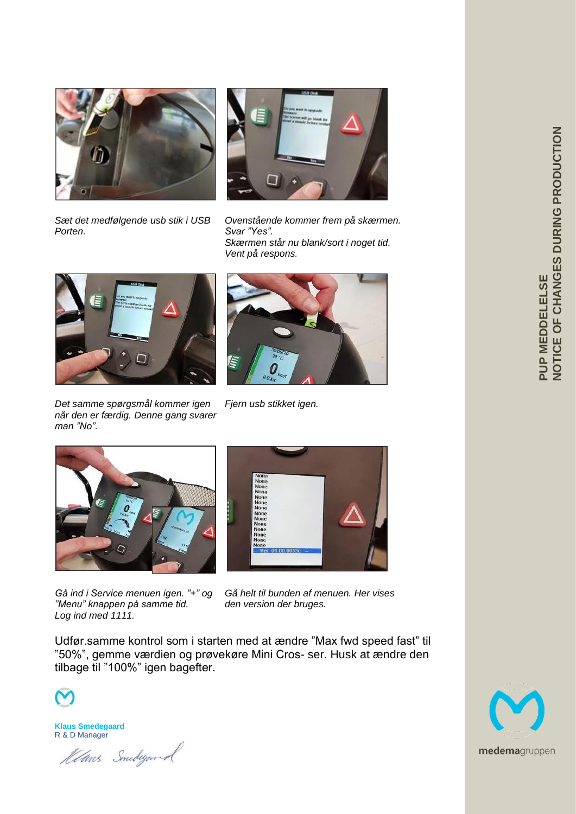



*Sæt det medfølgende usb stik i USB Ovenstående kommer frem på skærmen.* Svar "Yes".  *Skærmen står nu blank/sort i noget tid. Vent på respons.*



*Det samme spørgsmål kommer igen Fjern usb stikket igen. når den er færdig. Denne gang svarer man "No".*





*Gå ind i Service menuen igen. "+" og Gå helt til bunden af menuen. Her vises "Menu" knappen på samme tid. den version der bruges. Log ind med 1111.* 



Udfør.samme kontrol som i starten med at ændre "Max fwd speed fast" til "50%", gemme værdien og prøvekøre Mini Cros- ser. Husk at ændre den tilbage til "100%" igen bagefter.



**Klaus Smedegaard** R & D Manager

Klans Smedegand

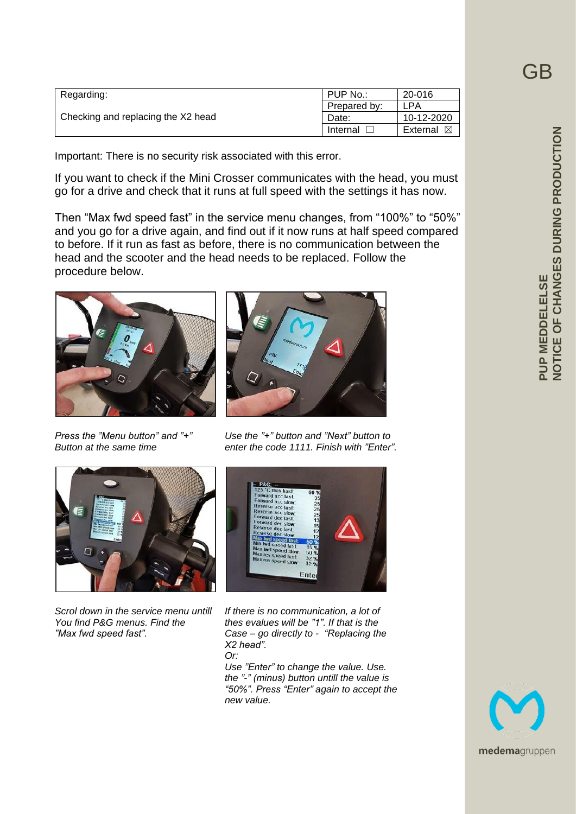| Regarding:                         | PUP No.:     | 20-016               |
|------------------------------------|--------------|----------------------|
| Checking and replacing the X2 head | Prepared by: | LPA                  |
|                                    | Date:        | 10-12-2020           |
|                                    | Internal     | External $\boxtimes$ |

Important: There is no security risk associated with this error.

If you want to check if the Mini Crosser communicates with the head, you must go for a drive and check that it runs at full speed with the settings it has now.

Then "Max fwd speed fast" in the service menu changes, from "100%" to "50%" and you go for a drive again, and find out if it now runs at half speed compared to before. If it run as fast as before, there is no communication between the head and the scooter and the head needs to be replaced. Follow the procedure below.





*Press the "Menu button" and "+" Use the "+" button and "Next" button to Button at the same time enter the code 1111. Finish with "Enter".*





*Scrol down in the service menu untill If there is no communication, a lot of thes evalues will be "1". If that is the "Max fwd speed fast". Case – go directly to - "Replacing the X2 head". Or: Use "Enter" to change the value. Use. the "-" (minus) button untill the value is*

 *"50%". Press "Enter" again to accept the new value.*

GB

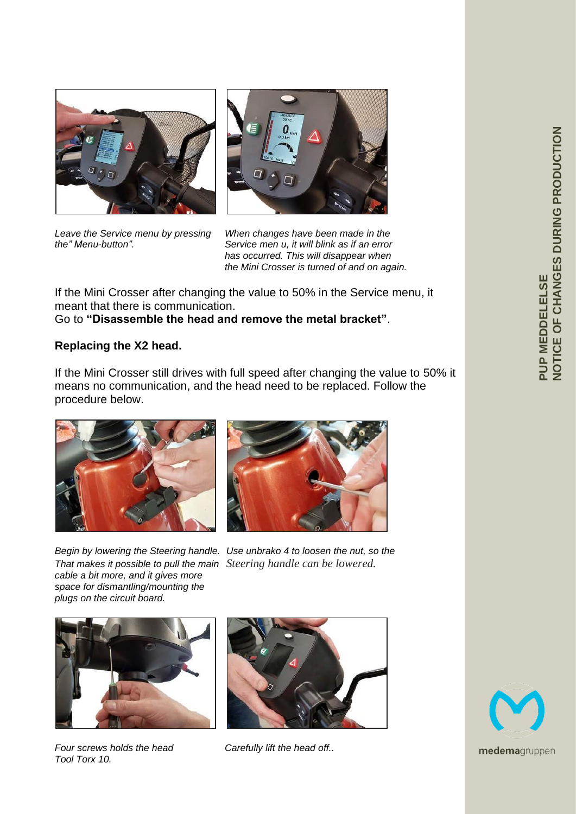



*Leave the Service menu by pressing When changes have been made in the the" Menu-button". Service men u, it will blink as if an error has occurred. This will disappear when the Mini Crosser is turned of and on again.*

If the Mini Crosser after changing the value to 50% in the Service menu, it meant that there is communication.

Go to **"Disassemble the head and remove the metal bracket"**.

#### **Replacing the X2 head.**

If the Mini Crosser still drives with full speed after changing the value to 50% it means no communication, and the head need to be replaced. Follow the procedure below.





*That makes it possible to pull the main Steering handle can be lowered. cable a bit more, and it gives more space for dismantling/mounting the plugs on the circuit board.*

*Begin by lowering the Steering handle. Use unbrako 4 to loosen the nut, so the*



*Four screws holds the head Carefully lift the head off.. Tool Torx 10.*



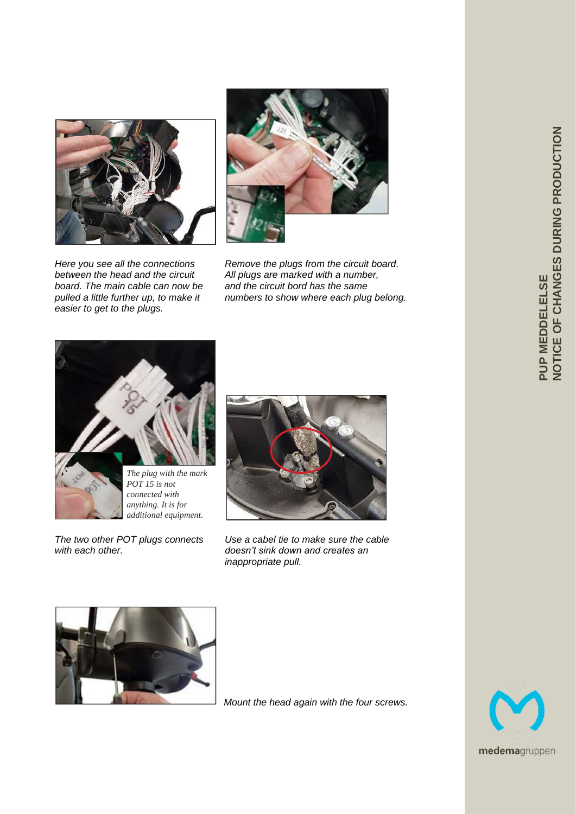

*pulled a little further up, to make it numbers to show where each plug belong. easier to get to the plugs.*







*POT 15 is not connected with anything. It is for additional equipment.*



*The two other POT plugs connects Use a cabel tie to make sure the cable with each other. doesn't sink down and creates an inappropriate pull.*



*Mount the head again with the four screws.*

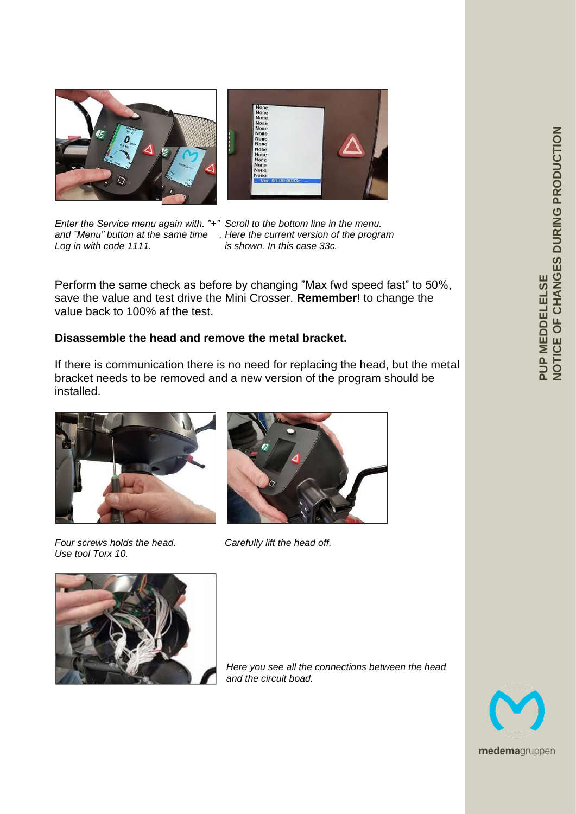

*Log in with code 1111. is shown. In this case 33c.*

*Enter the Service menu again with. "+" Scroll to the bottom line in the menu. and "Menu" button at the same time . Here the current version of the program*

Perform the same check as before by changing "Max fwd speed fast" to 50%, save the value and test drive the Mini Crosser. **Remember**! to change the value back to 100% af the test.

#### **Disassemble the head and remove the metal bracket.**

If there is communication there is no need for replacing the head, but the metal bracket needs to be removed and a new version of the program should be installed.



*Four screws holds the head. Carefully lift the head off. Use tool Torx 10.*





*Here you see all the connections between the head and the circuit boad.*

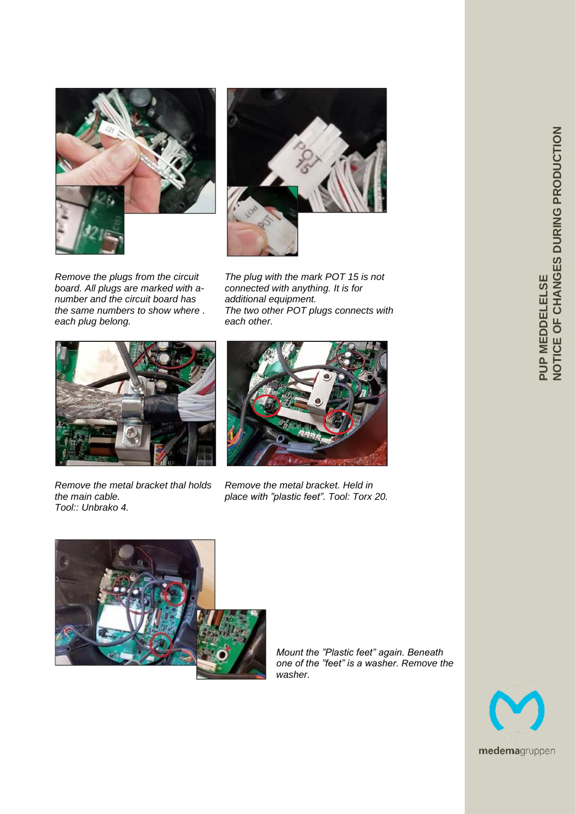



*board. All plugs are marked with anumber and the circuit board has additional equipment.*  $each$  plug belong.

*Remove the plugs from the circuit The plug with the mark POT 15 is not* The two other POT plugs connects with each other.



*Remove the metal bracket thal holds Remove the metal bracket. Held in Tool:: Unbrako 4.*



*the main cable. place with "plastic feet". Tool: Torx 20.*



*Mount the "Plastic feet" again. Beneath one of the "feet" is a washer. Remove the washer.*

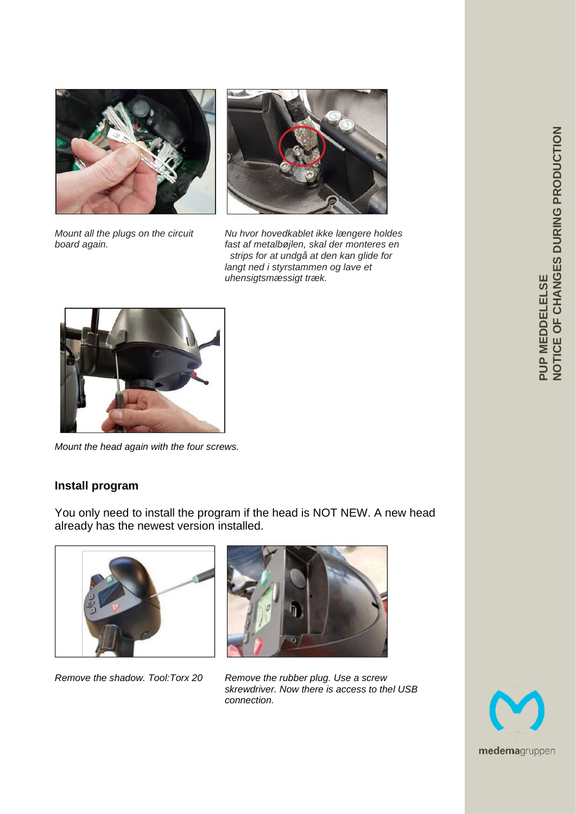



*Mount all the plugs on the circuit Nu hvor hovedkablet ikke længere holdes board again. fast af metalbøjlen, skal der monteres en strips for at undgå at den kan glide for langt ned i styrstammen og lave et uhensigtsmæssigt træk.*



*Mount the head again with the four screws.*

# **Install program**

You only need to install the program if the head is NOT NEW. A new head already has the newest version installed.





*Remove the shadow. Tool:Torx 20 Remove the rubber plug. Use a screw skrewdriver. Now there is access to thel USB connection.*